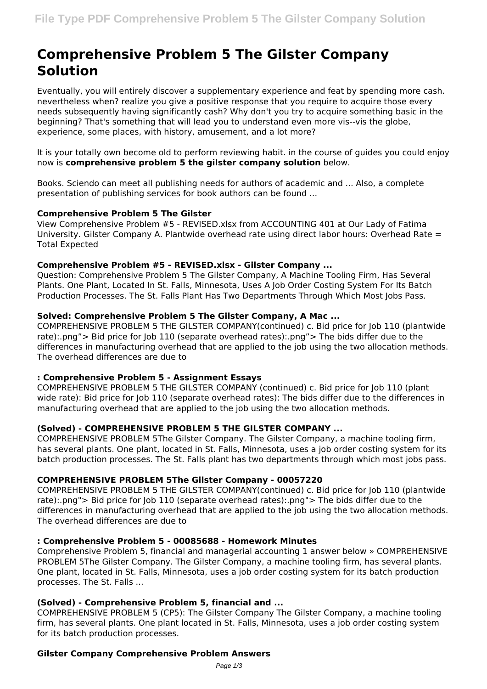# **Comprehensive Problem 5 The Gilster Company Solution**

Eventually, you will entirely discover a supplementary experience and feat by spending more cash. nevertheless when? realize you give a positive response that you require to acquire those every needs subsequently having significantly cash? Why don't you try to acquire something basic in the beginning? That's something that will lead you to understand even more vis--vis the globe, experience, some places, with history, amusement, and a lot more?

It is your totally own become old to perform reviewing habit. in the course of guides you could enjoy now is **comprehensive problem 5 the gilster company solution** below.

Books. Sciendo can meet all publishing needs for authors of academic and ... Also, a complete presentation of publishing services for book authors can be found ...

## **Comprehensive Problem 5 The Gilster**

View Comprehensive Problem #5 - REVISED.xlsx from ACCOUNTING 401 at Our Lady of Fatima University. Gilster Company A. Plantwide overhead rate using direct labor hours: Overhead Rate = Total Expected

## **Comprehensive Problem #5 - REVISED.xlsx - Gilster Company ...**

Question: Comprehensive Problem 5 The Gilster Company, A Machine Tooling Firm, Has Several Plants. One Plant, Located In St. Falls, Minnesota, Uses A Job Order Costing System For Its Batch Production Processes. The St. Falls Plant Has Two Departments Through Which Most Jobs Pass.

## **Solved: Comprehensive Problem 5 The Gilster Company, A Mac ...**

COMPREHENSIVE PROBLEM 5 THE GILSTER COMPANY(continued) c. Bid price for Job 110 (plantwide rate):.png"> Bid price for Job 110 (separate overhead rates):.png"> The bids differ due to the differences in manufacturing overhead that are applied to the job using the two allocation methods. The overhead differences are due to

# **: Comprehensive Problem 5 - Assignment Essays**

COMPREHENSIVE PROBLEM 5 THE GILSTER COMPANY (continued) c. Bid price for Job 110 (plant wide rate): Bid price for Job 110 (separate overhead rates): The bids differ due to the differences in manufacturing overhead that are applied to the job using the two allocation methods.

# **(Solved) - COMPREHENSIVE PROBLEM 5 THE GILSTER COMPANY ...**

COMPREHENSIVE PROBLEM 5The Gilster Company. The Gilster Company, a machine tooling firm, has several plants. One plant, located in St. Falls, Minnesota, uses a job order costing system for its batch production processes. The St. Falls plant has two departments through which most jobs pass.

## **COMPREHENSIVE PROBLEM 5The Gilster Company - 00057220**

COMPREHENSIVE PROBLEM 5 THE GILSTER COMPANY(continued) c. Bid price for Job 110 (plantwide rate):.png"> Bid price for Job 110 (separate overhead rates):.png"> The bids differ due to the differences in manufacturing overhead that are applied to the job using the two allocation methods. The overhead differences are due to

## **: Comprehensive Problem 5 - 00085688 - Homework Minutes**

Comprehensive Problem 5, financial and managerial accounting 1 answer below » COMPREHENSIVE PROBLEM 5The Gilster Company. The Gilster Company, a machine tooling firm, has several plants. One plant, located in St. Falls, Minnesota, uses a job order costing system for its batch production processes. The St. Falls ...

## **(Solved) - Comprehensive Problem 5, financial and ...**

COMPREHENSIVE PROBLEM 5 (CP5): The Gilster Company The Gilster Company, a machine tooling firm, has several plants. One plant located in St. Falls, Minnesota, uses a job order costing system for its batch production processes.

## **Gilster Company Comprehensive Problem Answers**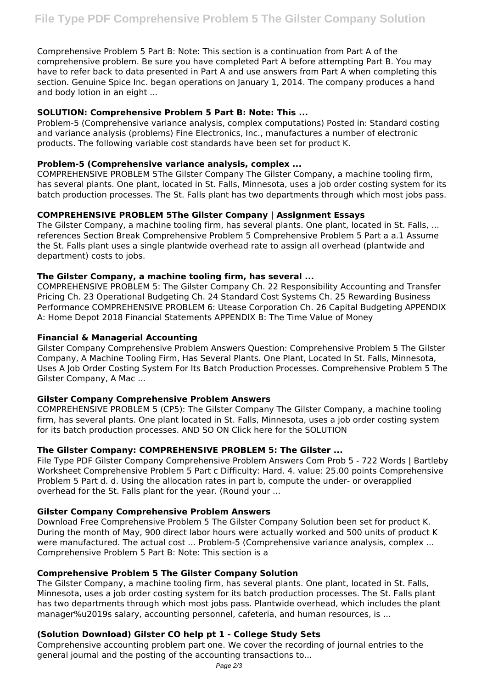Comprehensive Problem 5 Part B: Note: This section is a continuation from Part A of the comprehensive problem. Be sure you have completed Part A before attempting Part B. You may have to refer back to data presented in Part A and use answers from Part A when completing this section. Genuine Spice Inc. began operations on January 1, 2014. The company produces a hand and body lotion in an eight ...

## **SOLUTION: Comprehensive Problem 5 Part B: Note: This ...**

Problem-5 (Comprehensive variance analysis, complex computations) Posted in: Standard costing and variance analysis (problems) Fine Electronics, Inc., manufactures a number of electronic products. The following variable cost standards have been set for product K.

#### **Problem-5 (Comprehensive variance analysis, complex ...**

COMPREHENSIVE PROBLEM 5The Gilster Company The Gilster Company, a machine tooling firm, has several plants. One plant, located in St. Falls, Minnesota, uses a job order costing system for its batch production processes. The St. Falls plant has two departments through which most jobs pass.

# **COMPREHENSIVE PROBLEM 5The Gilster Company | Assignment Essays**

The Gilster Company, a machine tooling firm, has several plants. One plant, located in St. Falls, ... references Section Break Comprehensive Problem 5 Comprehensive Problem 5 Part a a.1 Assume the St. Falls plant uses a single plantwide overhead rate to assign all overhead (plantwide and department) costs to jobs.

## **The Gilster Company, a machine tooling firm, has several ...**

COMPREHENSIVE PROBLEM 5: The Gilster Company Ch. 22 Responsibility Accounting and Transfer Pricing Ch. 23 Operational Budgeting Ch. 24 Standard Cost Systems Ch. 25 Rewarding Business Performance COMPREHENSIVE PROBLEM 6: Utease Corporation Ch. 26 Capital Budgeting APPENDIX A: Home Depot 2018 Financial Statements APPENDIX B: The Time Value of Money

#### **Financial & Managerial Accounting**

Gilster Company Comprehensive Problem Answers Question: Comprehensive Problem 5 The Gilster Company, A Machine Tooling Firm, Has Several Plants. One Plant, Located In St. Falls, Minnesota, Uses A Job Order Costing System For Its Batch Production Processes. Comprehensive Problem 5 The Gilster Company, A Mac ...

## **Gilster Company Comprehensive Problem Answers**

COMPREHENSIVE PROBLEM 5 (CP5): The Gilster Company The Gilster Company, a machine tooling firm, has several plants. One plant located in St. Falls, Minnesota, uses a job order costing system for its batch production processes. AND SO ON Click here for the SOLUTION

## **The Gilster Company: COMPREHENSIVE PROBLEM 5: The Gilster ...**

File Type PDF Gilster Company Comprehensive Problem Answers Com Prob 5 - 722 Words | Bartleby Worksheet Comprehensive Problem 5 Part c Difficulty: Hard. 4. value: 25.00 points Comprehensive Problem 5 Part d. d. Using the allocation rates in part b, compute the under- or overapplied overhead for the St. Falls plant for the year. (Round your ...

#### **Gilster Company Comprehensive Problem Answers**

Download Free Comprehensive Problem 5 The Gilster Company Solution been set for product K. During the month of May, 900 direct labor hours were actually worked and 500 units of product K were manufactured. The actual cost ... Problem-5 (Comprehensive variance analysis, complex ... Comprehensive Problem 5 Part B: Note: This section is a

#### **Comprehensive Problem 5 The Gilster Company Solution**

The Gilster Company, a machine tooling firm, has several plants. One plant, located in St. Falls, Minnesota, uses a job order costing system for its batch production processes. The St. Falls plant has two departments through which most jobs pass. Plantwide overhead, which includes the plant manager%u2019s salary, accounting personnel, cafeteria, and human resources, is …

## **(Solution Download) Gilster CO help pt 1 - College Study Sets**

Comprehensive accounting problem part one. We cover the recording of journal entries to the general journal and the posting of the accounting transactions to...